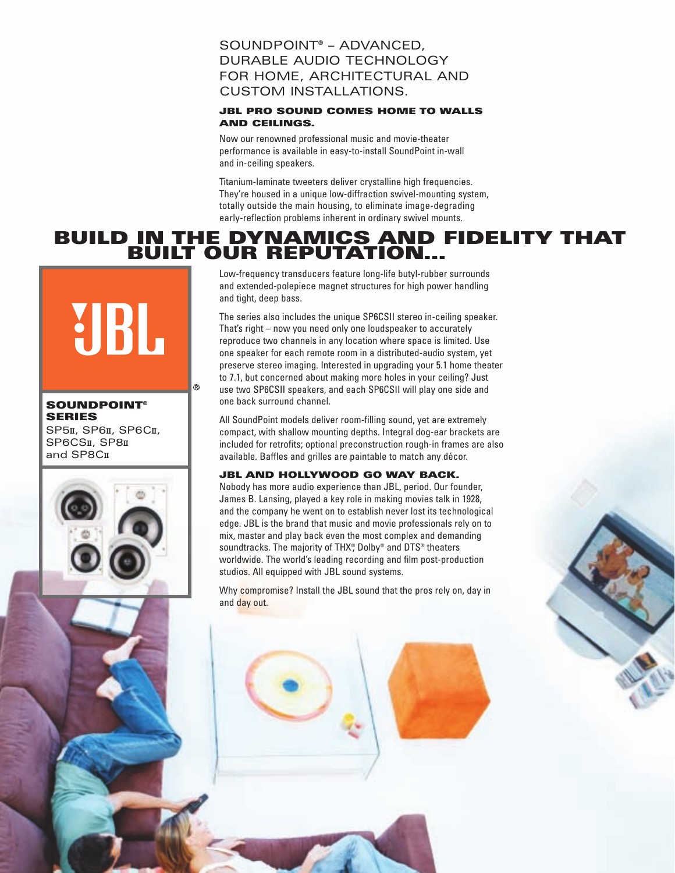#### SOUNDPOINT® – ADVANCED, DURABLE AUDIO TECHNOLOGY FOR HOME, ARCHITECTURAL AND CUSTOM INSTALLATIONS.

#### **JBL PRO SOUND COMES HOME TO WALLS AND CEILINGS.**

Now our renowned professional music and movie-theater performance is available in easy-to-install SoundPoint in-wall and in-ceiling speakers.

Titanium-laminate tweeters deliver crystalline high frequencies. They're housed in a unique low-diffraction swivel-mounting system, totally outside the main housing, to eliminate image-degrading early-reflection problems inherent in ordinary swivel mounts.

# **BUILD IN THE DYNAMICS AND FIDELITY THAT BUILT OUR REPUTATION...**

## Low-frequency transducers feature long-life butyl-rubber surrounds and extended-polepiece magnet structures for high power handling and tight, deep bass. UBL The series also includes the unique SP6CSII stereo in-ceiling speaker.

 $^{\circledR}$ 

That's right – now you need only one loudspeaker to accurately reproduce two channels in any location where space is limited. Use one speaker for each remote room in a distributed-audio system, yet preserve stereo imaging. Interested in upgrading your 5.1 home theater to 7.1, but concerned about making more holes in your ceiling? Just use two SP6CSII speakers, and each SP6CSII will play one side and one back surround channel.

All SoundPoint models deliver room-filling sound, yet are extremely compact, with shallow mounting depths. Integral dog-ear brackets are included for retrofits; optional preconstruction rough-in frames are also available. Baffles and grilles are paintable to match any décor.

#### **JBL AND HOLLYWOOD GO WAY BACK.**

Nobody has more audio experience than JBL, period. Our founder, James B. Lansing, played a key role in making movies talk in 1928, and the company he went on to establish never lost its technological edge. JBL is the brand that music and movie professionals rely on to mix, master and play back even the most complex and demanding soundtracks. The majority of THX®, Dolby® and DTS® theaters worldwide. The world's leading recording and film post-production studios. All equipped with JBL sound systems.

Why compromise? Install the JBL sound that the pros rely on, day in and day out.

**SOUNDPOINT SERIES**

SP5II, SP6I, SP6CII, SP6CSII, SP8II and SP8C